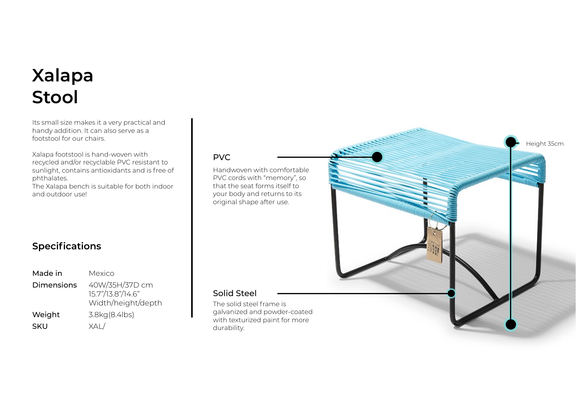# **X a l a p a Stool**

Its small size makes it a very practical and handy addition. It can also serve as a footstool for our chairs.

Xalapa footstool is hand-woven with recycled and/or recyclable PVC resistant to sunlight, contains antioxidants and is free of phthalates.

The Xalapa bench is suitable for both indoor and outdoor use!

## **Spec i fi c a t i o n s**

| Made in    | Mexico                                                    |
|------------|-----------------------------------------------------------|
| Dimensions | 40W/35H/37D cm<br>15.7"/13.8"/14.6"<br>Width/height/depth |
| Weight     | 3.8kg(8.4lbs)                                             |
| <b>SKU</b> | XAI/                                                      |

### **PVC**

Handwoven with comfortable PVC cords with "memory", so , that the seat forms itself to your body and returns to its or igina l sha p e a ft e r u s e .

He ight 3 5 c m

#### Solid Steel

The solid steel frame is galvanized and powder-coated with texturized paint for more durability .